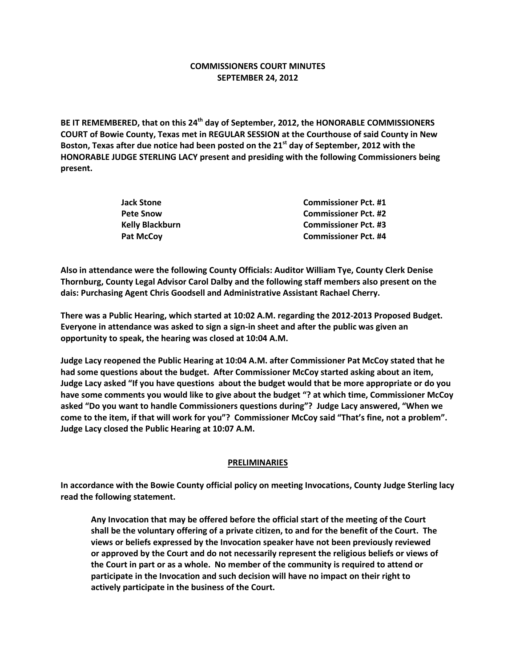# **COMMISSIONERS COURT MINUTES SEPTEMBER 24, 2012**

**BE IT REMEMBERED, that on this 24th day of September, 2012, the HONORABLE COMMISSIONERS COURT of Bowie County, Texas met in REGULAR SESSION at the Courthouse of said County in New Boston, Texas after due notice had been posted on the 21st day of September, 2012 with the HONORABLE JUDGE STERLING LACY present and presiding with the following Commissioners being present.**

| Jack Stone      | <b>Commissioner Pct. #1</b> |
|-----------------|-----------------------------|
| Pete Snow       | <b>Commissioner Pct. #2</b> |
| Kelly Blackburn | <b>Commissioner Pct. #3</b> |
| Pat McCov       | <b>Commissioner Pct. #4</b> |

**Also in attendance were the following County Officials: Auditor William Tye, County Clerk Denise Thornburg, County Legal Advisor Carol Dalby and the following staff members also present on the dais: Purchasing Agent Chris Goodsell and Administrative Assistant Rachael Cherry.**

**There was a Public Hearing, which started at 10:02 A.M. regarding the 2012-2013 Proposed Budget. Everyone in attendance was asked to sign a sign-in sheet and after the public was given an opportunity to speak, the hearing was closed at 10:04 A.M.**

**Judge Lacy reopened the Public Hearing at 10:04 A.M. after Commissioner Pat McCoy stated that he had some questions about the budget. After Commissioner McCoy started asking about an item, Judge Lacy asked "If you have questions about the budget would that be more appropriate or do you have some comments you would like to give about the budget "? at which time, Commissioner McCoy asked "Do you want to handle Commissioners questions during"? Judge Lacy answered, "When we come to the item, if that will work for you"? Commissioner McCoy said "That's fine, not a problem". Judge Lacy closed the Public Hearing at 10:07 A.M.**

### **PRELIMINARIES**

**In accordance with the Bowie County official policy on meeting Invocations, County Judge Sterling lacy read the following statement.**

**Any Invocation that may be offered before the official start of the meeting of the Court shall be the voluntary offering of a private citizen, to and for the benefit of the Court. The views or beliefs expressed by the Invocation speaker have not been previously reviewed or approved by the Court and do not necessarily represent the religious beliefs or views of the Court in part or as a whole. No member of the community is required to attend or participate in the Invocation and such decision will have no impact on their right to actively participate in the business of the Court.**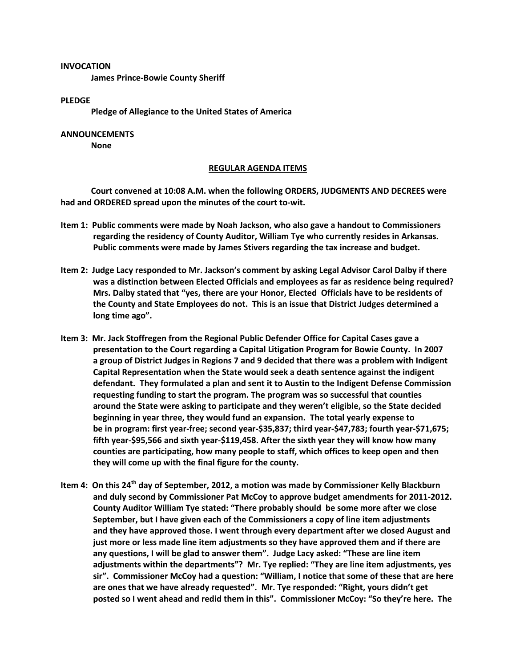#### **INVOCATION**

**James Prince-Bowie County Sheriff**

### **PLEDGE**

**Pledge of Allegiance to the United States of America**

# **ANNOUNCEMENTS**

**None**

### **REGULAR AGENDA ITEMS**

**Court convened at 10:08 A.M. when the following ORDERS, JUDGMENTS AND DECREES were had and ORDERED spread upon the minutes of the court to-wit.**

- **Item 1: Public comments were made by Noah Jackson, who also gave a handout to Commissioners regarding the residency of County Auditor, William Tye who currently resides in Arkansas. Public comments were made by James Stivers regarding the tax increase and budget.**
- **Item 2: Judge Lacy responded to Mr. Jackson's comment by asking Legal Advisor Carol Dalby if there was a distinction between Elected Officials and employees as far as residence being required? Mrs. Dalby stated that "yes, there are your Honor, Elected Officials have to be residents of the County and State Employees do not. This is an issue that District Judges determined a long time ago".**
- **Item 3: Mr. Jack Stoffregen from the Regional Public Defender Office for Capital Cases gave a presentation to the Court regarding a Capital Litigation Program for Bowie County. In 2007 a group of District Judges in Regions 7 and 9 decided that there was a problem with Indigent Capital Representation when the State would seek a death sentence against the indigent defendant. They formulated a plan and sent it to Austin to the Indigent Defense Commission requesting funding to start the program. The program was so successful that counties around the State were asking to participate and they weren't eligible, so the State decided beginning in year three, they would fund an expansion. The total yearly expense to be in program: first year-free; second year-\$35,837; third year-\$47,783; fourth year-\$71,675; fifth year-\$95,566 and sixth year-\$119,458. After the sixth year they will know how many counties are participating, how many people to staff, which offices to keep open and then they will come up with the final figure for the county.**
- **Item 4: On this 24th day of September, 2012, a motion was made by Commissioner Kelly Blackburn and duly second by Commissioner Pat McCoy to approve budget amendments for 2011-2012. County Auditor William Tye stated: "There probably should be some more after we close September, but I have given each of the Commissioners a copy of line item adjustments and they have approved those. I went through every department after we closed August and just more or less made line item adjustments so they have approved them and if there are any questions, I will be glad to answer them". Judge Lacy asked: "These are line item adjustments within the departments"? Mr. Tye replied: "They are line item adjustments, yes sir". Commissioner McCoy had a question: "William, I notice that some of these that are here are ones that we have already requested". Mr. Tye responded: "Right, yours didn't get posted so I went ahead and redid them in this". Commissioner McCoy: "So they're here. The**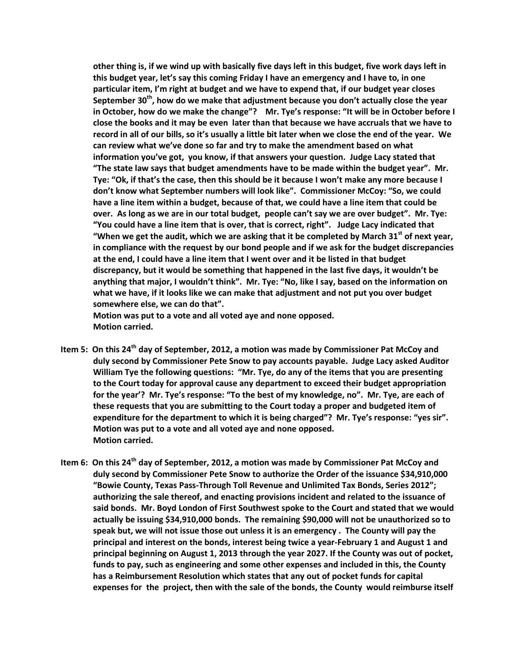**other thing is, if we wind up with basically five days left in this budget, five work days left in this budget year, let's say this coming Friday I have an emergency and I have to, in one particular item, I'm right at budget and we have to expend that, if our budget year closes September 30th, how do we make that adjustment because you don't actually close the year in October, how do we make the change"? Mr. Tye's response: "It will be in October before I close the books and it may be even later than that because we have accruals that we have to record in all of our bills, so it's usually a little bit later when we close the end of the year. We can review what we've done so far and try to make the amendment based on what information you've got, you know, if that answers your question. Judge Lacy stated that "The state law says that budget amendments have to be made within the budget year". Mr. Tye: "Ok, if that's the case, then this should be it because I won't make any more because I don't know what September numbers will look like". Commissioner McCoy: "So, we could have a line item within a budget, because of that, we could have a line item that could be over. As long as we are in our total budget, people can't say we are over budget". Mr. Tye: "You could have a line item that is over, that is correct, right". Judge Lacy indicated that "When we get the audit, which we are asking that it be completed by March 31st of next year, in compliance with the request by our bond people and if we ask for the budget discrepancies at the end, I could have a line item that I went over and it be listed in that budget discrepancy, but it would be something that happened in the last five days, it wouldn't be anything that major, I wouldn't think". Mr. Tye: "No, like I say, based on the information on what we have, if it looks like we can make that adjustment and not put you over budget somewhere else, we can do that".**

**Motion was put to a vote and all voted aye and none opposed. Motion carried.**

- **Item 5: On this 24th day of September, 2012, a motion was made by Commissioner Pat McCoy and duly second by Commissioner Pete Snow to pay accounts payable. Judge Lacy asked Auditor William Tye the following questions: "Mr. Tye, do any of the items that you are presenting to the Court today for approval cause any department to exceed their budget appropriation for the year'? Mr. Tye's response: "To the best of my knowledge, no". Mr. Tye, are each of these requests that you are submitting to the Court today a proper and budgeted item of expenditure for the department to which it is being charged"? Mr. Tye's response: "yes sir". Motion was put to a vote and all voted aye and none opposed. Motion carried.**
- **Item 6: On this 24th day of September, 2012, a motion was made by Commissioner Pat McCoy and duly second by Commissioner Pete Snow to authorize the Order of the issuance \$34,910,000 "Bowie County, Texas Pass-Through Toll Revenue and Unlimited Tax Bonds, Series 2012"; authorizing the sale thereof, and enacting provisions incident and related to the issuance of said bonds. Mr. Boyd London of First Southwest spoke to the Court and stated that we would actually be issuing \$34,910,000 bonds. The remaining \$90,000 will not be unauthorized so to speak but, we will not issue those out unless it is an emergency . The County will pay the principal and interest on the bonds, interest being twice a year-February 1 and August 1 and principal beginning on August 1, 2013 through the year 2027. If the County was out of pocket, funds to pay, such as engineering and some other expenses and included in this, the County has a Reimbursement Resolution which states that any out of pocket funds for capital expenses for the project, then with the sale of the bonds, the County would reimburse itself**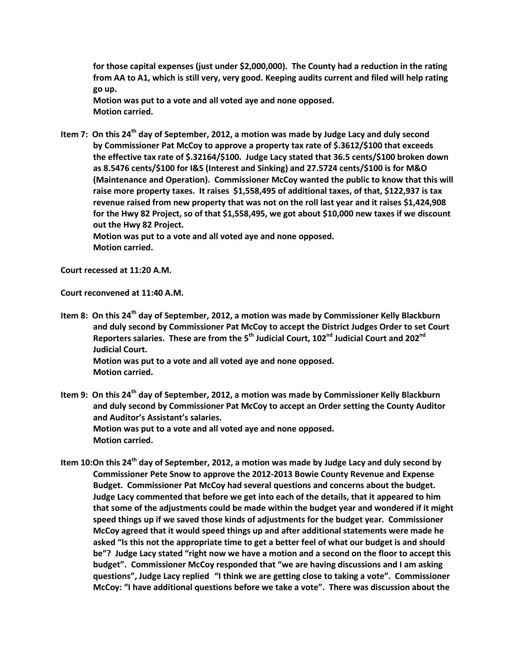**for those capital expenses (just under \$2,000,000). The County had a reduction in the rating from AA to A1, which is still very, very good. Keeping audits current and filed will help rating go up.**

**Motion was put to a vote and all voted aye and none opposed. Motion carried.**

**Item 7: On this 24th day of September, 2012, a motion was made by Judge Lacy and duly second by Commissioner Pat McCoy to approve a property tax rate of \$.3612/\$100 that exceeds the effective tax rate of \$.32164/\$100. Judge Lacy stated that 36.5 cents/\$100 broken down as 8.5476 cents/\$100 for I&S (Interest and Sinking) and 27.5724 cents/\$100 is for M&O (Maintenance and Operation). Commissioner McCoy wanted the public to know that this will raise more property taxes. It raises \$1,558,495 of additional taxes, of that, \$122,937 is tax revenue raised from new property that was not on the roll last year and it raises \$1,424,908 for the Hwy 82 Project, so of that \$1,558,495, we got about \$10,000 new taxes if we discount out the Hwy 82 Project.**

**Motion was put to a vote and all voted aye and none opposed. Motion carried.**

**Court recessed at 11:20 A.M.**

**Court reconvened at 11:40 A.M.**

**Item 8: On this 24th day of September, 2012, a motion was made by Commissioner Kelly Blackburn and duly second by Commissioner Pat McCoy to accept the District Judges Order to set Court Reporters salaries. These are from the 5th Judicial Court, 102nd Judicial Court and 202nd Judicial Court. Motion was put to a vote and all voted aye and none opposed. Motion carried.**

**Item 9: On this 24th day of September, 2012, a motion was made by Commissioner Kelly Blackburn and duly second by Commissioner Pat McCoy to accept an Order setting the County Auditor and Auditor's Assistant's salaries. Motion was put to a vote and all voted aye and none opposed. Motion carried.**

**Item 10:On this 24th day of September, 2012, a motion was made by Judge Lacy and duly second by Commissioner Pete Snow to approve the 2012-2013 Bowie County Revenue and Expense Budget. Commissioner Pat McCoy had several questions and concerns about the budget. Judge Lacy commented that before we get into each of the details, that it appeared to him that some of the adjustments could be made within the budget year and wondered if it might speed things up if we saved those kinds of adjustments for the budget year. Commissioner McCoy agreed that it would speed things up and after additional statements were made he asked "Is this not the appropriate time to get a better feel of what our budget is and should be"? Judge Lacy stated "right now we have a motion and a second on the floor to accept this budget". Commissioner McCoy responded that "we are having discussions and I am asking questions", Judge Lacy replied "I think we are getting close to taking a vote". Commissioner McCoy: "I have additional questions before we take a vote". There was discussion about the**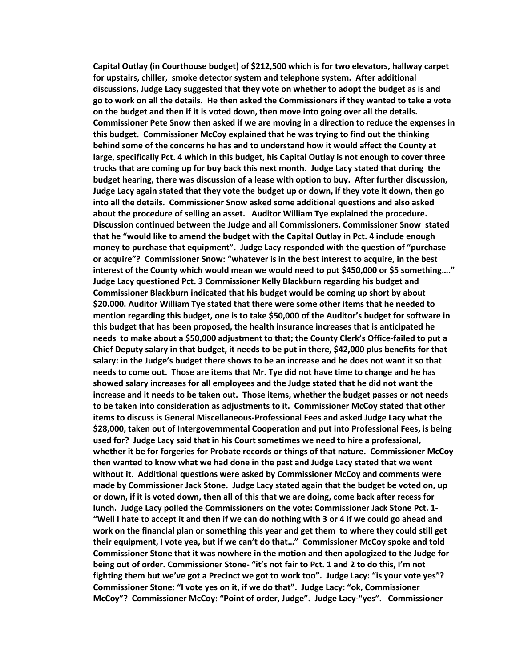**Capital Outlay (in Courthouse budget) of \$212,500 which is for two elevators, hallway carpet for upstairs, chiller, smoke detector system and telephone system. After additional discussions, Judge Lacy suggested that they vote on whether to adopt the budget as is and go to work on all the details. He then asked the Commissioners if they wanted to take a vote on the budget and then if it is voted down, then move into going over all the details. Commissioner Pete Snow then asked if we are moving in a direction to reduce the expenses in this budget. Commissioner McCoy explained that he was trying to find out the thinking behind some of the concerns he has and to understand how it would affect the County at large, specifically Pct. 4 which in this budget, his Capital Outlay is not enough to cover three trucks that are coming up for buy back this next month. Judge Lacy stated that during the budget hearing, there was discussion of a lease with option to buy. After further discussion, Judge Lacy again stated that they vote the budget up or down, if they vote it down, then go into all the details. Commissioner Snow asked some additional questions and also asked about the procedure of selling an asset. Auditor William Tye explained the procedure. Discussion continued between the Judge and all Commissioners. Commissioner Snow stated that he "would like to amend the budget with the Capital Outlay in Pct. 4 include enough money to purchase that equipment". Judge Lacy responded with the question of "purchase or acquire"? Commissioner Snow: "whatever is in the best interest to acquire, in the best interest of the County which would mean we would need to put \$450,000 or \$5 something…." Judge Lacy questioned Pct. 3 Commissioner Kelly Blackburn regarding his budget and Commissioner Blackburn indicated that his budget would be coming up short by about \$20.000. Auditor William Tye stated that there were some other items that he needed to mention regarding this budget, one is to take \$50,000 of the Auditor's budget for software in this budget that has been proposed, the health insurance increases that is anticipated he needs to make about a \$50,000 adjustment to that; the County Clerk's Office-failed to put a Chief Deputy salary in that budget, it needs to be put in there, \$42,000 plus benefits for that salary: in the Judge's budget there shows to be an increase and he does not want it so that needs to come out. Those are items that Mr. Tye did not have time to change and he has showed salary increases for all employees and the Judge stated that he did not want the increase and it needs to be taken out. Those items, whether the budget passes or not needs to be taken into consideration as adjustments to it. Commissioner McCoy stated that other items to discuss is General Miscellaneous-Professional Fees and asked Judge Lacy what the \$28,000, taken out of Intergovernmental Cooperation and put into Professional Fees, is being used for? Judge Lacy said that in his Court sometimes we need to hire a professional, whether it be for forgeries for Probate records or things of that nature. Commissioner McCoy then wanted to know what we had done in the past and Judge Lacy stated that we went without it. Additional questions were asked by Commissioner McCoy and comments were made by Commissioner Jack Stone. Judge Lacy stated again that the budget be voted on, up or down, if it is voted down, then all of this that we are doing, come back after recess for lunch. Judge Lacy polled the Commissioners on the vote: Commissioner Jack Stone Pct. 1- "Well I hate to accept it and then if we can do nothing with 3 or 4 if we could go ahead and work on the financial plan or something this year and get them to where they could still get their equipment, I vote yea, but if we can't do that…" Commissioner McCoy spoke and told Commissioner Stone that it was nowhere in the motion and then apologized to the Judge for being out of order. Commissioner Stone- "it's not fair to Pct. 1 and 2 to do this, I'm not fighting them but we've got a Precinct we got to work too". Judge Lacy: "is your vote yes"? Commissioner Stone: "I vote yes on it, if we do that". Judge Lacy: "ok, Commissioner McCoy"? Commissioner McCoy: "Point of order, Judge". Judge Lacy-"yes". Commissioner**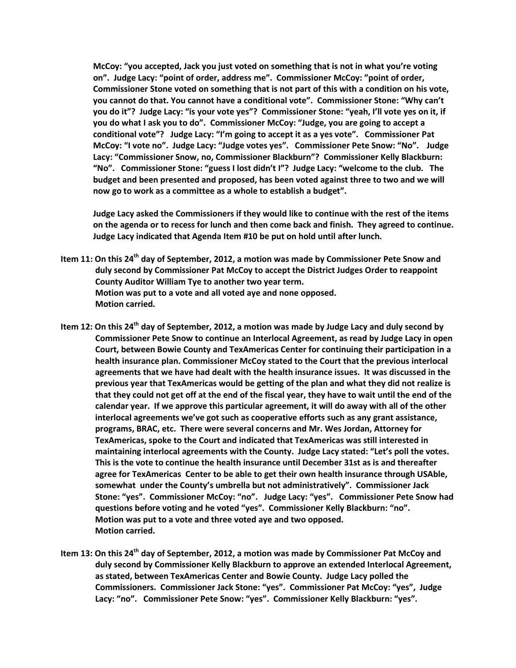**McCoy: "you accepted, Jack you just voted on something that is not in what you're voting on". Judge Lacy: "point of order, address me". Commissioner McCoy: "point of order, Commissioner Stone voted on something that is not part of this with a condition on his vote, you cannot do that. You cannot have a conditional vote". Commissioner Stone: "Why can't you do it"? Judge Lacy: "is your vote yes"? Commissioner Stone: "yeah, I'll vote yes on it, if you do what I ask you to do". Commissioner McCoy: "Judge, you are going to accept a conditional vote"? Judge Lacy: "I'm going to accept it as a yes vote". Commissioner Pat McCoy: "I vote no". Judge Lacy: "Judge votes yes". Commissioner Pete Snow: "No". Judge Lacy: "Commissioner Snow, no, Commissioner Blackburn"? Commissioner Kelly Blackburn: "No". Commissioner Stone: "guess I lost didn't I"? Judge Lacy: "welcome to the club. The budget and been presented and proposed, has been voted against three to two and we will now go to work as a committee as a whole to establish a budget".** 

**Judge Lacy asked the Commissioners if they would like to continue with the rest of the items on the agenda or to recess for lunch and then come back and finish. They agreed to continue. Judge Lacy indicated that Agenda Item #10 be put on hold until after lunch.**

- **Item 11: On this 24th day of September, 2012, a motion was made by Commissioner Pete Snow and duly second by Commissioner Pat McCoy to accept the District Judges Order to reappoint County Auditor William Tye to another two year term. Motion was put to a vote and all voted aye and none opposed. Motion carried.**
- **Item 12: On this 24th day of September, 2012, a motion was made by Judge Lacy and duly second by Commissioner Pete Snow to continue an Interlocal Agreement, as read by Judge Lacy in open Court, between Bowie County and TexAmericas Center for continuing their participation in a health insurance plan. Commissioner McCoy stated to the Court that the previous interlocal agreements that we have had dealt with the health insurance issues. It was discussed in the previous year that TexAmericas would be getting of the plan and what they did not realize is that they could not get off at the end of the fiscal year, they have to wait until the end of the calendar year. If we approve this particular agreement, it will do away with all of the other interlocal agreements we've got such as cooperative efforts such as any grant assistance, programs, BRAC, etc. There were several concerns and Mr. Wes Jordan, Attorney for TexAmericas, spoke to the Court and indicated that TexAmericas was still interested in maintaining interlocal agreements with the County. Judge Lacy stated: "Let's poll the votes. This is the vote to continue the health insurance until December 31st as is and thereafter agree for TexAmericas Center to be able to get their own health insurance through USAble, somewhat under the County's umbrella but not administratively". Commissioner Jack Stone: "yes". Commissioner McCoy: "no". Judge Lacy: "yes". Commissioner Pete Snow had questions before voting and he voted "yes". Commissioner Kelly Blackburn: "no". Motion was put to a vote and three voted aye and two opposed. Motion carried.**
- **Item 13: On this 24th day of September, 2012, a motion was made by Commissioner Pat McCoy and duly second by Commissioner Kelly Blackburn to approve an extended Interlocal Agreement, as stated, between TexAmericas Center and Bowie County. Judge Lacy polled the Commissioners. Commissioner Jack Stone: "yes". Commissioner Pat McCoy: "yes", Judge Lacy: "no". Commissioner Pete Snow: "yes". Commissioner Kelly Blackburn: "yes".**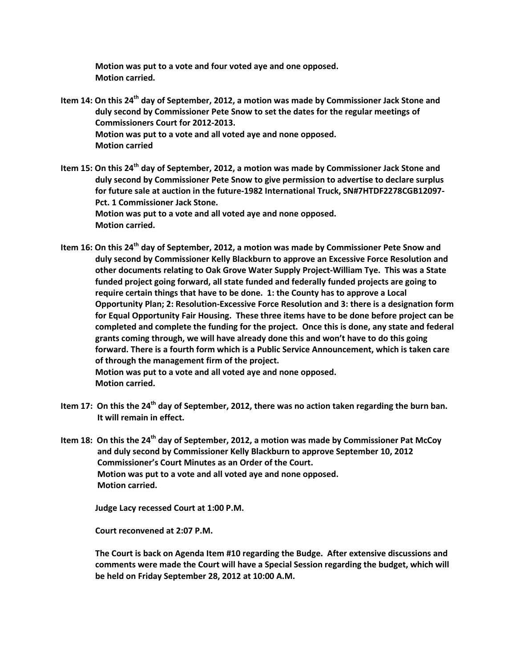**Motion was put to a vote and four voted aye and one opposed. Motion carried.**

- **Item 14: On this 24th day of September, 2012, a motion was made by Commissioner Jack Stone and duly second by Commissioner Pete Snow to set the dates for the regular meetings of Commissioners Court for 2012-2013. Motion was put to a vote and all voted aye and none opposed. Motion carried**
- **Item 15: On this 24th day of September, 2012, a motion was made by Commissioner Jack Stone and duly second by Commissioner Pete Snow to give permission to advertise to declare surplus for future sale at auction in the future-1982 International Truck, SN#7HTDF2278CGB12097- Pct. 1 Commissioner Jack Stone. Motion was put to a vote and all voted aye and none opposed. Motion carried.**
- **Item 16: On this 24th day of September, 2012, a motion was made by Commissioner Pete Snow and duly second by Commissioner Kelly Blackburn to approve an Excessive Force Resolution and other documents relating to Oak Grove Water Supply Project-William Tye. This was a State funded project going forward, all state funded and federally funded projects are going to require certain things that have to be done. 1: the County has to approve a Local Opportunity Plan; 2: Resolution-Excessive Force Resolution and 3: there is a designation form for Equal Opportunity Fair Housing. These three items have to be done before project can be completed and complete the funding for the project. Once this is done, any state and federal grants coming through, we will have already done this and won't have to do this going forward. There is a fourth form which is a Public Service Announcement, which is taken care of through the management firm of the project. Motion was put to a vote and all voted aye and none opposed. Motion carried.**
- **Item 17: On this the 24th day of September, 2012, there was no action taken regarding the burn ban. It will remain in effect.**
- **Item 18: On this the 24th day of September, 2012, a motion was made by Commissioner Pat McCoy and duly second by Commissioner Kelly Blackburn to approve September 10, 2012 Commissioner's Court Minutes as an Order of the Court. Motion was put to a vote and all voted aye and none opposed. Motion carried.**

 **Judge Lacy recessed Court at 1:00 P.M.**

 **Court reconvened at 2:07 P.M.**

 **The Court is back on Agenda Item #10 regarding the Budge. After extensive discussions and comments were made the Court will have a Special Session regarding the budget, which will be held on Friday September 28, 2012 at 10:00 A.M.**